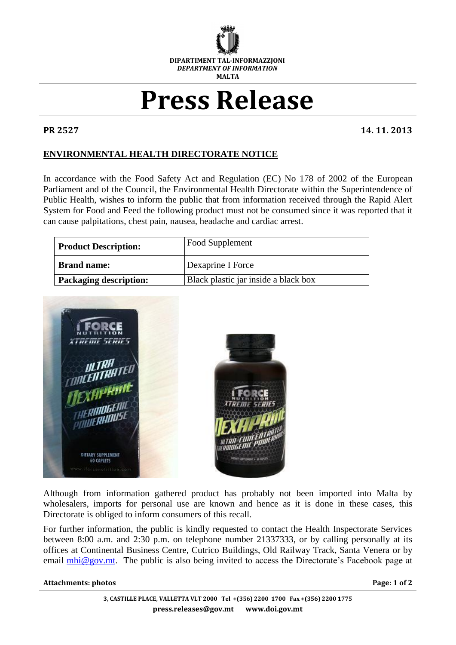

## **Press Release**

**PR 2527 14. 11. 2013**

## **ENVIRONMENTAL HEALTH DIRECTORATE NOTICE**

In accordance with the Food Safety Act and Regulation (EC) No 178 of 2002 of the European Parliament and of the Council, the Environmental Health Directorate within the Superintendence of Public Health, wishes to inform the public that from information received through the Rapid Alert System for Food and Feed the following product must not be consumed since it was reported that it can cause palpitations, chest pain, nausea, headache and cardiac arrest.

| <b>Product Description:</b>   | <b>Food Supplement</b>               |
|-------------------------------|--------------------------------------|
| <b>Brand name:</b>            | Dexaprine I Force                    |
| <b>Packaging description:</b> | Black plastic jar inside a black box |



Although from information gathered product has probably not been imported into Malta by wholesalers, imports for personal use are known and hence as it is done in these cases, this Directorate is obliged to inform consumers of this recall.

For further information, the public is kindly requested to contact the Health Inspectorate Services between 8:00 a.m. and 2:30 p.m. on telephone number 21337333, or by calling personally at its offices at Continental Business Centre, Cutrico Buildings, Old Railway Track, Santa Venera or by email  $mhi@gov.mt$ . The public is also being invited to access the Directorate's Facebook page at

## **Attachments: photos Page: 1 of 2**